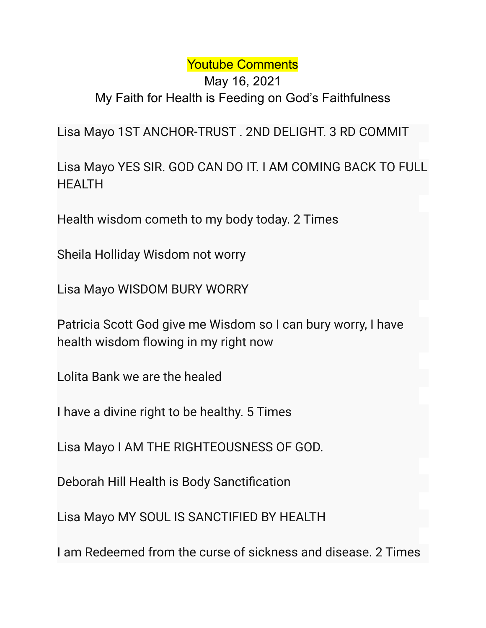## Youtube Comments

## May 16, 2021 My Faith for Health is Feeding on God's Faithfulness

Lisa Mayo 1ST ANCHOR-TRUST . 2ND DELIGHT. 3 RD COMMIT

Lisa Mayo YES SIR. GOD CAN DO IT. I AM COMING BACK TO FULL **HFAITH** 

Health wisdom cometh to my body today. 2 Times

Sheila Holliday Wisdom not worry

Lisa Mayo WISDOM BURY WORRY

Patricia Scott God give me Wisdom so I can bury worry, I have health wisdom flowing in my right now

Lolita Bank we are the healed

I have a divine right to be healthy. 5 Times

Lisa Mayo I AM THE RIGHTEOUSNESS OF GOD.

Deborah Hill Health is Body Sanctification

Lisa Mayo MY SOUL IS SANCTIFIED BY HEALTH

I am Redeemed from the curse of sickness and disease. 2 Times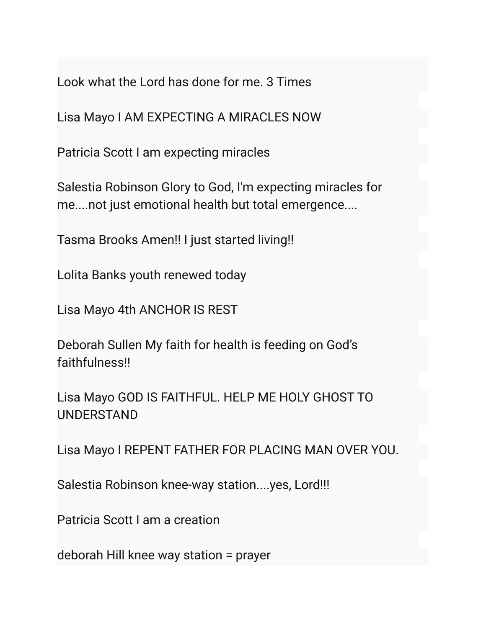Look what the Lord has done for me. 3 Times

Lisa Mayo I AM EXPECTING A MIRACLES NOW

Patricia Scott I am expecting miracles

Salestia Robinson Glory to God, I'm expecting miracles for me....not just emotional health but total emergence....

Tasma Brooks Amen!! I just started living!!

Lolita Banks youth renewed today

Lisa Mayo 4th ANCHOR IS REST

Deborah Sullen My faith for health is feeding on God's faithfulness!!

Lisa Mayo GOD IS FAITHFUL. HELP ME HOLY GHOST TO UNDERSTAND

Lisa Mayo I REPENT FATHER FOR PLACING MAN OVER YOU.

Salestia Robinson knee-way station....yes, Lord!!!

Patricia Scott I am a creation

deborah Hill knee way station = prayer